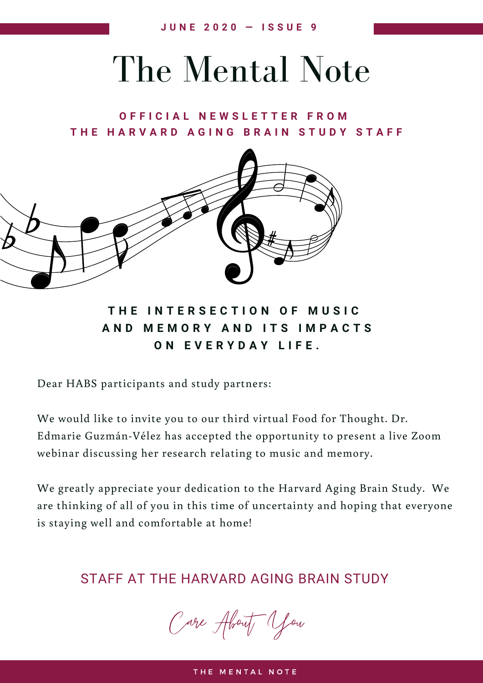## The Mental Note

**O F F I C I A L N E W S L E T T E R F R O M** THE HARVARD AGING BRAIN STUDY STAFF



**T H E I N T E R S E C T I O N O F M U S I C A N D M E M O R Y A N D I T S I M P A C T S O N E V E R Y D A Y L I F E .**

Dear HABS participants and study partners:

We would like to invite you to our third virtual Food for Thought. Dr. Edmarie Guzmán-Vélez has accepted the opportunity to present a live Zoom webinar discussing her research relating to music and memory.

We greatly appreciate your dedication to the Harvard Aging Brain Study. We are thinking of all of you in this time of uncertainty and hoping that everyone is staying well and comfortable at home!

STAFF AT THE HARVARD AGING BRAIN STUDY

Care About You

THE MENTAL NOTE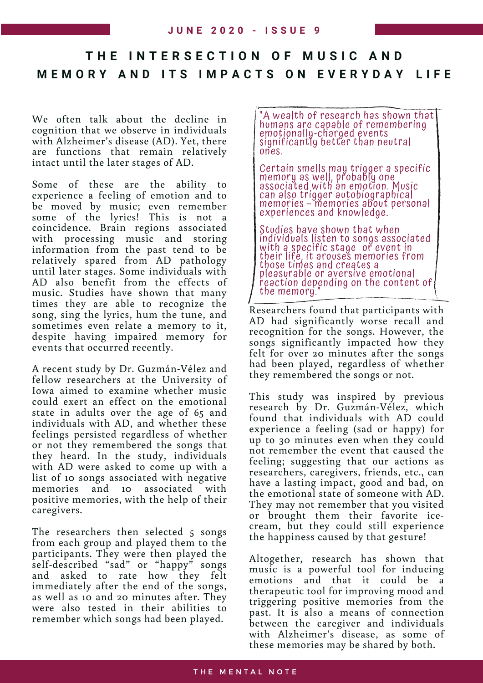## **T H E I N T E R S E C T I O N O F M U S I C A N D M E M O R Y A N D I T S I M P A C T S O N E V E R Y D A Y L I F E**

We often talk about the decline in cognition that we observe in individuals with Alzheimer's disease (AD). Yet, there are functions that remain relatively intact until the later stages of AD.

Some of these are the ability to experience a feeling of emotion and to be moved by music; even remember some of the lyrics! This is not a coincidence. Brain regions associated with processing music and storing information from the past tend to be relatively spared from AD pathology until later stages. Some individuals with AD also benefit from the effects of music. Studies have shown that many times they are able to recognize the song, sing the lyrics, hum the tune, and sometimes even relate a memory to it, despite having impaired memory for events that occurred recently.

A recent study by Dr. Guzmán-Vélez and fellow researchers at the University of Iowa aimed to examine whether music could exert an effect on the emotional state in adults over the age of 65 and individuals with AD, and whether these feelings persisted regardless of whether or not they remembered the songs that they heard. In the study, individuals with AD were asked to come up with a list of 10 songs associated with negative memories and 10 associated with positive memories, with the help of their caregivers.

The researchers then selected 5 songs from each group and played them to the participants. They were then played the self-described "sad" or "happy" songs and asked to rate how they felt immediately after the end of the songs, as well as 10 and 20 minutes after. They were also tested in their abilities to remember which songs had been played.

"A wealth of research has shown that humans are capable of resignments and in the<br>emotionally-charaed events nomalis are capable of reme<br>emotionally-charged events<br>significantly better than new sinomonally charged events<br>significantly better than neutral ones.

Certain smells may trigger a specific<br>memory as well, probably one<br>associated with an emotion. Music memoty as with probably one<br>associated with an emotion. Music can also trigger autobiographical memories – memories about personal experiences and knowledge.

Studies have shown that when individuals listen to songs associated with a specific stage or event.<br>With a specific stage or event in their life, it arouses memories from<br>their life, it arouses memories from those times and creates a pleasurable or aversive emotional reaction depending on the content of the memory.

Researchers found that participants with AD had significantly worse recall and recognition for the songs. However, the songs significantly impacted how they felt for over 20 minutes after the songs had been played, regardless of whether they remembered the songs or not.

This study was inspired by previous research by Dr. Guzmán-Vélez, which found that individuals with AD could experience a feeling (sad or happy) for up to 30 minutes even when they could not remember the event that caused the feeling; suggesting that our actions as researchers, caregivers, friends, etc., can have a lasting impact, good and bad, on the emotional state of someone with AD. They may not remember that you visited or brought them their favorite icecream, but they could still experience the happiness caused by that gesture!

Altogether, research has shown that music is a powerful tool for inducing emotions and that it could be a therapeutic tool for improving mood and triggering positive memories from the past. It is also a means of connection between the caregiver and individuals with Alzheimer's disease, as some of these memories may be shared by both.